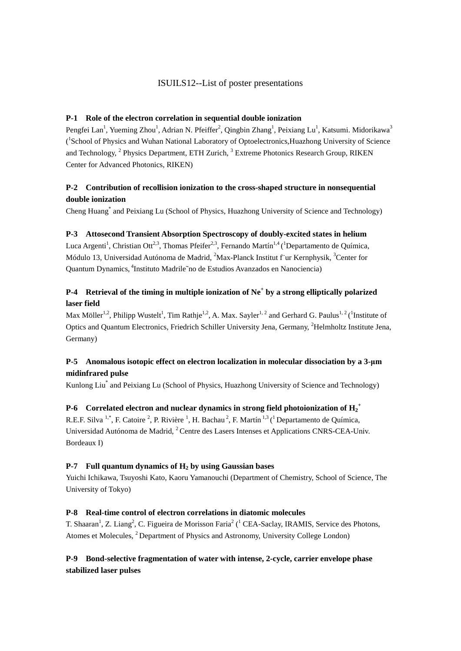## ISUILS12--List of poster presentations

### **P-1 Role of the electron correlation in sequential double ionization**

Pengfei Lan<sup>1</sup>, Yueming Zhou<sup>1</sup>, Adrian N. Pfeiffer<sup>2</sup>, Qingbin Zhang<sup>1</sup>, Peixiang Lu<sup>1</sup>, Katsumi. Midorikawa<sup>3</sup> ( 1 School of Physics and Wuhan National Laboratory of Optoelectronics,Huazhong University of Science and Technology, <sup>2</sup> Physics Department, ETH Zurich, <sup>3</sup> Extreme Photonics Research Group, RIKEN Center for Advanced Photonics, RIKEN)

## **P-2 Contribution of recollision ionization to the cross-shaped structure in nonsequential double ionization**

Cheng Huang\* and Peixiang Lu (School of Physics, Huazhong University of Science and Technology)

### **P-3 Attosecond Transient Absorption Spectroscopy of doubly-excited states in helium**

Luca Argenti<sup>1</sup>, Christian Ott<sup>2,3</sup>, Thomas Pfeifer<sup>2,3</sup>, Fernando Martín<sup>1,4</sup> (<sup>1</sup>Departamento de Química, Módulo 13, Universidad Autónoma de Madrid, <sup>2</sup>Max-Planck Institut f`ur Kernphysik, <sup>3</sup>Center for Quantum Dynamics, <sup>4</sup>Instituto Madrile~no de Estudios Avanzados en Nanociencia)

## **P-4 Retrieval of the timing in multiple ionization of Ne<sup>+</sup> by a strong elliptically polarized laser field**

Max Möller<sup>1,2</sup>, Philipp Wustelt<sup>1</sup>, Tim Rathje<sup>1,2</sup>, A. Max. Sayler<sup>1,2</sup> and Gerhard G. Paulus<sup>1,2</sup> (<sup>1</sup>Institute of Optics and Quantum Electronics, Friedrich Schiller University Jena, Germany, <sup>2</sup>Helmholtz Institute Jena, Germany)

# **P-5 Anomalous isotopic effect on electron localization in molecular dissociation by a 3-μm midinfrared pulse**

Kunlong Liu\* and Peixiang Lu (School of Physics, Huazhong University of Science and Technology)

# **P-6**  $\,$  Correlated electron and nuclear dynamics in strong field photoionization of  $\rm{H_2}^+$

R.E.F. Silva <sup>1,\*</sup>, F. Catoire <sup>2</sup>, P. Rivière <sup>1</sup>, H. Bachau <sup>2</sup>, F. Martín <sup>1,3</sup> (<sup>1</sup> Departamento de Química, Universidad Autónoma de Madrid, <sup>2</sup> Centre des Lasers Intenses et Applications CNRS-CEA-Univ. Bordeaux I)

### **P-7 Full quantum dynamics of H2 by using Gaussian bases**

Yuichi Ichikawa, Tsuyoshi Kato, Kaoru Yamanouchi (Department of Chemistry, School of Science, The University of Tokyo)

### **P-8 Real-time control of electron correlations in diatomic molecules**

T. Shaaran<sup>1</sup>, Z. Liang<sup>2</sup>, C. Figueira de Morisson Faria<sup>2</sup> (<sup>1</sup> CEA-Saclay, IRAMIS, Service des Photons, Atomes et Molecules, <sup>2</sup> Department of Physics and Astronomy, University College London)

## **P-9 Bond-selective fragmentation of water with intense, 2-cycle, carrier envelope phase stabilized laser pulses**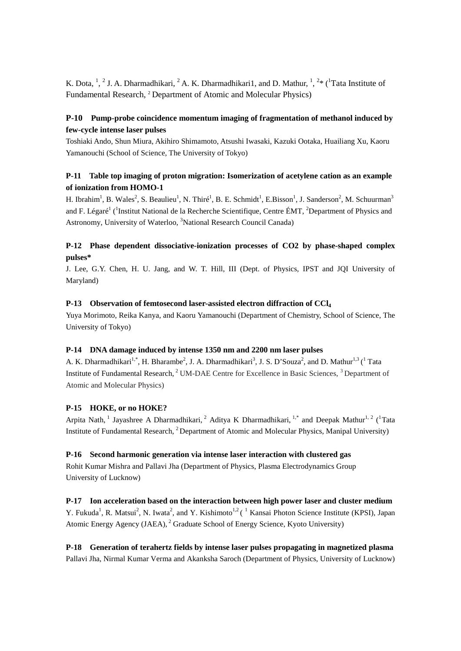K. Dota,  $\frac{1}{2}$ , 2 J. A. Dharmadhikari, <sup>2</sup> A. K. Dharmadhikari1, and D. Mathur,  $\frac{1}{2}$ ,  $\frac{2}{3}$  ( $\frac{1}{1}$ Tata Institute of Fundamental Research, 2 Department of Atomic and Molecular Physics)

## **P-10 Pump-probe coincidence momentum imaging of fragmentation of methanol induced by few-cycle intense laser pulses**

Toshiaki Ando, Shun Miura, Akihiro Shimamoto, Atsushi Iwasaki, Kazuki Ootaka, Huailiang Xu, Kaoru Yamanouchi (School of Science, The University of Tokyo)

## **P-11 Table top imaging of proton migration: Isomerization of acetylene cation as an example of ionization from HOMO-1**

H. Ibrahim<sup>1</sup>, B. Wales<sup>2</sup>, S. Beaulieu<sup>1</sup>, N. Thiré<sup>1</sup>, B. E. Schmidt<sup>1</sup>, E.Bisson<sup>1</sup>, J. Sanderson<sup>2</sup>, M. Schuurman<sup>3</sup> and F. Légaré<sup>1</sup> (<sup>1</sup>Institut National de la Recherche Scientifique, Centre ÉMT, <sup>2</sup>Department of Physics and Astronomy, University of Waterloo, <sup>3</sup>National Research Council Canada)

## **P-12 Phase dependent dissociative-ionization processes of CO2 by phase-shaped complex pulses\***

J. Lee, G.Y. Chen, H. U. Jang, and W. T. Hill, III (Dept. of Physics, IPST and JQI University of Maryland)

### **P-13 Observation of femtosecond laser-assisted electron diffraction of CCl4**

Yuya Morimoto, Reika Kanya, and Kaoru Yamanouchi (Department of Chemistry, School of Science, The University of Tokyo)

### **P-14 DNA damage induced by intense 1350 nm and 2200 nm laser pulses**

A. K. Dharmadhikari<sup>1,\*</sup>, H. Bharambe<sup>2</sup>, J. A. Dharmadhikari<sup>3</sup>, J. S. D'Souza<sup>2</sup>, and D. Mathur<sup>1,3</sup> (<sup>1</sup> Tata Institute of Fundamental Research,<sup>2</sup> UM-DAE Centre for Excellence in Basic Sciences,<sup>3</sup> Department of Atomic and Molecular Physics)

#### **P-15 HOKE, or no HOKE?**

Arpita Nath, <sup>1</sup> Jayashree A Dharmadhikari, <sup>2</sup> Aditya K Dharmadhikari, <sup>1,\*</sup> and Deepak Mathur<sup>1, 2</sup> (<sup>1</sup>Tata Institute of Fundamental Research, <sup>2</sup> Department of Atomic and Molecular Physics, Manipal University)

### **P-16 Second harmonic generation via intense laser interaction with clustered gas**

Rohit Kumar Mishra and Pallavi Jha (Department of Physics, Plasma Electrodynamics Group University of Lucknow)

**P-17 Ion acceleration based on the interaction between high power laser and cluster medium** Y. Fukuda<sup>1</sup>, R. Matsui<sup>2</sup>, N. Iwata<sup>2</sup>, and Y. Kishimoto<sup>1,2</sup> (<sup>1</sup> Kansai Photon Science Institute (KPSI), Japan Atomic Energy Agency (JAEA), <sup>2</sup> Graduate School of Energy Science, Kyoto University)

**P-18 Generation of terahertz fields by intense laser pulses propagating in magnetized plasma** Pallavi Jha, Nirmal Kumar Verma and Akanksha Saroch (Department of Physics, University of Lucknow)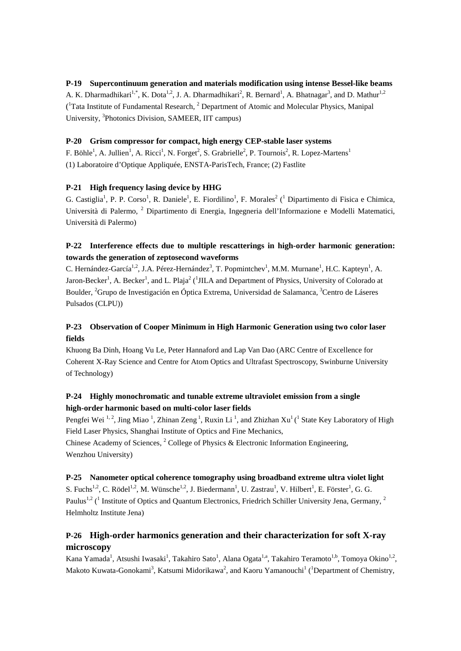### **P-19 Supercontinuum generation and materials modification using intense Bessel-like beams**

A. K. Dharmadhikari<sup>1,\*</sup>, K. Dota<sup>1,2</sup>, J. A. Dharmadhikari<sup>2</sup>, R. Bernard<sup>1</sup>, A. Bhatnagar<sup>3</sup>, and D. Mathur<sup>1,2</sup> (<sup>1</sup>Tata Institute of Fundamental Research, <sup>2</sup> Department of Atomic and Molecular Physics, Manipal University, <sup>3</sup>Photonics Division, SAMEER, IIT campus)

### **P-20 Grism compressor for compact, high energy CEP-stable laser systems**

F. Böhle<sup>1</sup>, A. Jullien<sup>1</sup>, A. Ricci<sup>1</sup>, N. Forget<sup>2</sup>, S. Grabrielle<sup>2</sup>, P. Tournois<sup>2</sup>, R. Lopez-Martens<sup>1</sup> (1) Laboratoire d'Optique Appliquée, ENSTA-ParisTech, France; (2) Fastlite

### **P-21 High frequency lasing device by HHG**

G. Castiglia<sup>1</sup>, P. P. Corso<sup>1</sup>, R. Daniele<sup>1</sup>, E. Fiordilino<sup>1</sup>, F. Morales<sup>2</sup> (<sup>1</sup> Dipartimento di Fisica e Chimica, Università di Palermo, <sup>2</sup> Dipartimento di Energia, Ingegneria dell'Informazione e Modelli Matematici, Università di Palermo)

## **P-22 Interference effects due to multiple rescatterings in high-order harmonic generation: towards the generation of zeptosecond waveforms**

C. Hernández-García<sup>1,2</sup>, J.A. Pérez-Hernández<sup>3</sup>, T. Popmintchev<sup>1</sup>, M.M. Murnane<sup>1</sup>, H.C. Kapteyn<sup>1</sup>, A. Jaron-Becker<sup>1</sup>, A. Becker<sup>1</sup>, and L. Plaja<sup>2</sup> (<sup>1</sup>JILA and Department of Physics, University of Colorado at Boulder, <sup>2</sup>Grupo de Investigación en Óptica Extrema, Universidad de Salamanca, <sup>3</sup>Centro de Láseres Pulsados (CLPU))

## **P-23 Observation of Cooper Minimum in High Harmonic Generation using two color laser fields**

Khuong Ba Dinh, Hoang Vu Le, Peter Hannaford and Lap Van Dao (ARC Centre of Excellence for Coherent X-Ray Science and Centre for Atom Optics and Ultrafast Spectroscopy, Swinburne University of Technology)

## **P-24 Highly monochromatic and tunable extreme ultraviolet emission from a single high-order harmonic based on multi-color laser fields**

Pengfei Wei<sup>1,2</sup>, Jing Miao<sup>1</sup>, Zhinan Zeng<sup>1</sup>, Ruxin Li<sup>1</sup>, and Zhizhan Xu<sup>1</sup> (<sup>1</sup> State Key Laboratory of High Field Laser Physics, Shanghai Institute of Optics and Fine Mechanics,

Chinese Academy of Sciences,  $2$  College of Physics & Electronic Information Engineering, Wenzhou University)

### **P-25 Nanometer optical coherence tomography using broadband extreme ultra violet light**

S. Fuchs<sup>1,2</sup>, C. Rödel<sup>1,2</sup>, M. Wünsche<sup>1,2</sup>, J. Biedermann<sup>1</sup>, U. Zastrau<sup>1</sup>, V. Hilbert<sup>1</sup>, E. Förster<sup>1</sup>, G. G. Paulus<sup>1,2</sup> (<sup>1</sup> Institute of Optics and Quantum Electronics, Friedrich Schiller University Jena, Germany,  $^{2}$ Helmholtz Institute Jena)

# **P-26 High-order harmonics generation and their characterization for soft X-ray microscopy**

Kana Yamada<sup>1</sup>, Atsushi Iwasaki<sup>1</sup>, Takahiro Sato<sup>1</sup>, Alana Ogata<sup>1,a</sup>, Takahiro Teramoto<sup>1,b</sup>, Tomoya Okino<sup>1,2</sup>, Makoto Kuwata-Gonokami<sup>3</sup>, Katsumi Midorikawa<sup>2</sup>, and Kaoru Yamanouchi<sup>1</sup> (<sup>1</sup>Department of Chemistry,